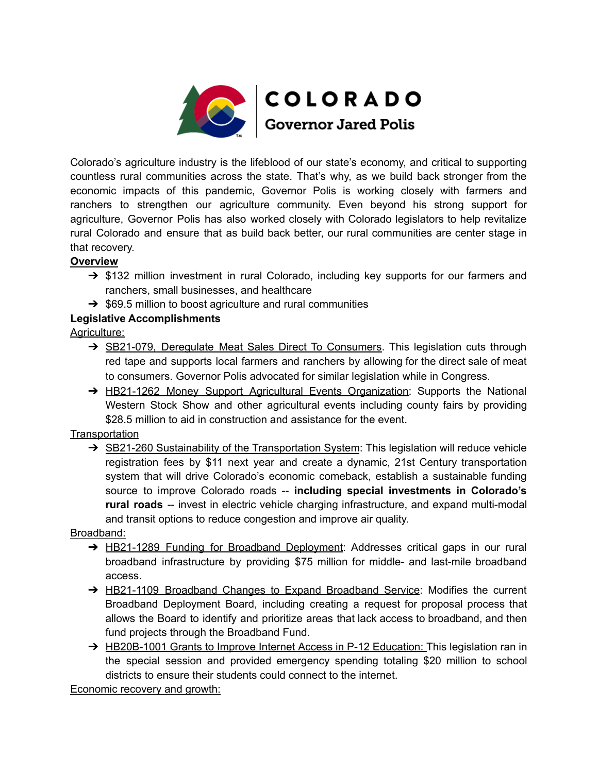

Colorado's agriculture industry is the lifeblood of our state's economy, and critical to supporting countless rural communities across the state. That's why, as we build back stronger from the economic impacts of this pandemic, Governor Polis is working closely with farmers and ranchers to strengthen our agriculture community. Even beyond his strong support for agriculture, Governor Polis has also worked closely with Colorado legislators to help revitalize rural Colorado and ensure that as build back better, our rural communities are center stage in that recovery.

## **Overview**

- → \$132 million investment in rural Colorado, including key supports for our farmers and ranchers, small businesses, and healthcare
- $\rightarrow$  \$69.5 million to boost agriculture and rural communities

## **Legislative Accomplishments**

Agriculture:

- → SB21-079, Deregulate Meat Sales Direct To Consumers. This legislation cuts through red tape and supports local farmers and ranchers by allowing for the direct sale of meat to consumers. Governor Polis advocated for similar legislation while in Congress.
- → HB21-1262 Money Support Agricultural Events Organization: Supports the National Western Stock Show and other agricultural events including county fairs by providing \$28.5 million to aid in construction and assistance for the event.

**Transportation** 

→ SB21-260 Sustainability of the Transportation System: This legislation will reduce vehicle registration fees by \$11 next year and create a dynamic, 21st Century transportation system that will drive Colorado's economic comeback, establish a sustainable funding source to improve Colorado roads -- **including special investments in Colorado's rural roads** -- invest in electric vehicle charging infrastructure, and expand multi-modal and transit options to reduce congestion and improve air quality.

## Broadband:

- → HB21-1289 Funding for Broadband Deployment: Addresses critical gaps in our rural broadband infrastructure by providing \$75 million for middle- and last-mile broadband access.
- → HB21-1109 Broadband Changes to Expand Broadband Service: Modifies the current Broadband Deployment Board, including creating a request for proposal process that allows the Board to identify and prioritize areas that lack access to broadband, and then fund projects through the Broadband Fund.
- → HB20B-1001 Grants to Improve Internet Access in P-12 Education: This legislation ran in the special session and provided emergency spending totaling \$20 million to school districts to ensure their students could connect to the internet.

Economic recovery and growth: